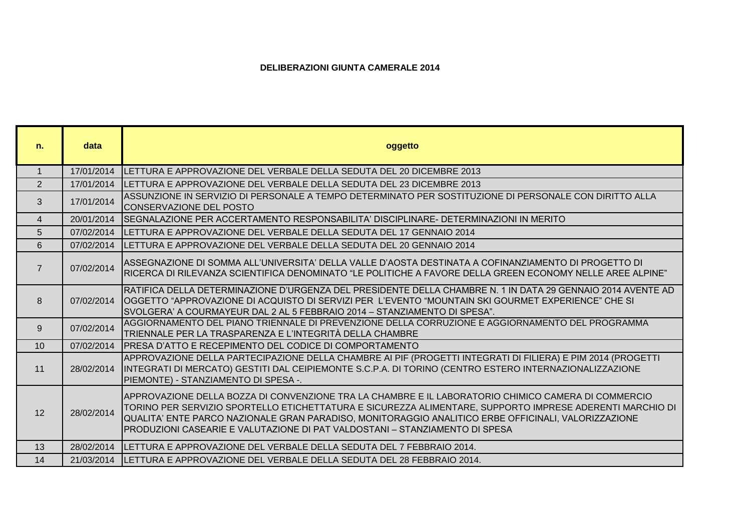## **DELIBERAZIONI GIUNTA CAMERALE 2014**

٦

a.

| n.              | data       | oggetto                                                                                                                                                                                                                                                                                                                                                                                               |
|-----------------|------------|-------------------------------------------------------------------------------------------------------------------------------------------------------------------------------------------------------------------------------------------------------------------------------------------------------------------------------------------------------------------------------------------------------|
| $\overline{1}$  | 17/01/2014 | ILETTURA E APPROVAZIONE DEL VERBALE DELLA SEDUTA DEL 20 DICEMBRE 2013                                                                                                                                                                                                                                                                                                                                 |
| 2               | 17/01/2014 | <b>ILETTURA E APPROVAZIONE DEL VERBALE DELLA SEDUTA DEL 23 DICEMBRE 2013</b>                                                                                                                                                                                                                                                                                                                          |
| 3               | 17/01/2014 | ASSUNZIONE IN SERVIZIO DI PERSONALE A TEMPO DETERMINATO PER SOSTITUZIONE DI PERSONALE CON DIRITTO ALLA<br><b>CONSERVAZIONE DEL POSTO</b>                                                                                                                                                                                                                                                              |
| 4               | 20/01/2014 | ISEGNALAZIONE PER ACCERTAMENTO RESPONSABILITA' DISCIPLINARE- DETERMINAZIONI IN MERITO                                                                                                                                                                                                                                                                                                                 |
| 5               | 07/02/2014 | ILETTURA E APPROVAZIONE DEL VERBALE DELLA SEDUTA DEL 17 GENNAIO 2014                                                                                                                                                                                                                                                                                                                                  |
| 6               | 07/02/2014 | LETTURA E APPROVAZIONE DEL VERBALE DELLA SEDUTA DEL 20 GENNAIO 2014                                                                                                                                                                                                                                                                                                                                   |
| $\overline{7}$  | 07/02/2014 | ASSEGNAZIONE DI SOMMA ALL'UNIVERSITA' DELLA VALLE D'AOSTA DESTINATA A COFINANZIAMENTO DI PROGETTO DI<br>RICERCA DI RILEVANZA SCIENTIFICA DENOMINATO "LE POLITICHE A FAVORE DELLA GREEN ECONOMY NELLE AREE ALPINE"                                                                                                                                                                                     |
| 8               | 07/02/2014 | RATIFICA DELLA DETERMINAZIONE D'URGENZA DEL PRESIDENTE DELLA CHAMBRE N. 1 IN DATA 29 GENNAIO 2014 AVENTE AD<br>OGGETTO "APPROVAZIONE DI ACQUISTO DI SERVIZI PER L'EVENTO "MOUNTAIN SKI GOURMET EXPERIENCE" CHE SI<br>SVOLGERA' A COURMAYEUR DAL 2 AL 5 FEBBRAIO 2014 - STANZIAMENTO DI SPESA".                                                                                                        |
| 9               | 07/02/2014 | AGGIORNAMENTO DEL PIANO TRIENNALE DI PREVENZIONE DELLA CORRUZIONE E AGGIORNAMENTO DEL PROGRAMMA<br>TRIENNALE PER LA TRASPARENZA E L'INTEGRITÀ DELLA CHAMBRE                                                                                                                                                                                                                                           |
| 10 <sup>1</sup> | 07/02/2014 | <b>IPRESA D'ATTO E RECEPIMENTO DEL CODICE DI COMPORTAMENTO</b>                                                                                                                                                                                                                                                                                                                                        |
| 11              | 28/02/2014 | APPROVAZIONE DELLA PARTECIPAZIONE DELLA CHAMBRE AI PIF (PROGETTI INTEGRATI DI FILIERA) E PIM 2014 (PROGETTI<br>INTEGRATI DI MERCATO) GESTITI DAL CEIPIEMONTE S.C.P.A. DI TORINO (CENTRO ESTERO INTERNAZIONALIZZAZIONE<br>PIEMONTE) - STANZIAMENTO DI SPESA -.                                                                                                                                         |
| 12              | 28/02/2014 | APPROVAZIONE DELLA BOZZA DI CONVENZIONE TRA LA CHAMBRE E IL LABORATORIO CHIMICO CAMERA DI COMMERCIO<br>TORINO PER SERVIZIO SPORTELLO ETICHETTATURA E SICUREZZA ALIMENTARE, SUPPORTO IMPRESE ADERENTI MARCHIO DI<br>QUALITA' ENTE PARCO NAZIONALE GRAN PARADISO, MONITORAGGIO ANALITICO ERBE OFFICINALI, VALORIZZAZIONE<br>PRODUZIONI CASEARIE E VALUTAZIONE DI PAT VALDOSTANI - STANZIAMENTO DI SPESA |
| 13              | 28/02/2014 | ILETTURA E APPROVAZIONE DEL VERBALE DELLA SEDUTA DEL 7 FEBBRAIO 2014.                                                                                                                                                                                                                                                                                                                                 |
| 14              | 21/03/2014 | LETTURA E APPROVAZIONE DEL VERBALE DELLA SEDUTA DEL 28 FEBBRAIO 2014.                                                                                                                                                                                                                                                                                                                                 |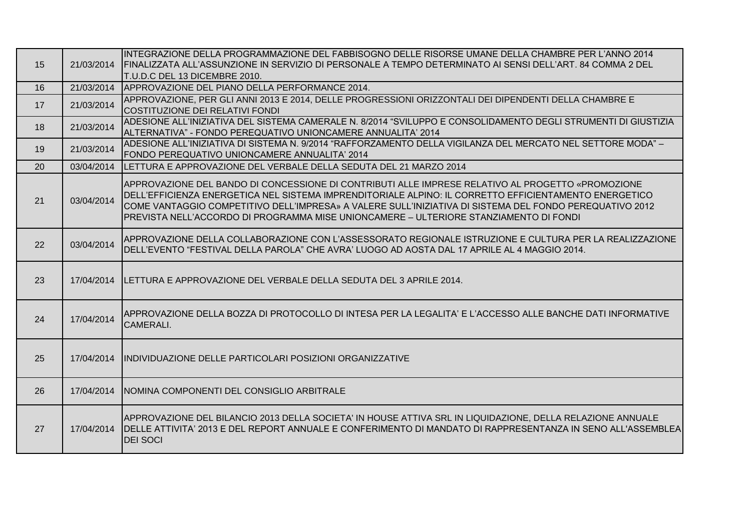|    |            | INTEGRAZIONE DELLA PROGRAMMAZIONE DEL FABBISOGNO DELLE RISORSE UMANE DELLA CHAMBRE PER L'ANNO 2014             |
|----|------------|----------------------------------------------------------------------------------------------------------------|
| 15 | 21/03/2014 | FINALIZZATA ALL'ASSUNZIONE IN SERVIZIO DI PERSONALE A TEMPO DETERMINATO AI SENSI DELL'ART. 84 COMMA 2 DEL      |
|    |            | T.U.D.C DEL 13 DICEMBRE 2010.                                                                                  |
| 16 | 21/03/2014 | APPROVAZIONE DEL PIANO DELLA PERFORMANCE 2014.                                                                 |
| 17 | 21/03/2014 | APPROVAZIONE, PER GLI ANNI 2013 E 2014, DELLE PROGRESSIONI ORIZZONTALI DEI DIPENDENTI DELLA CHAMBRE E          |
|    |            | COSTITUZIONE DEI RELATIVI FONDI                                                                                |
| 18 | 21/03/2014 | ADESIONE ALL'INIZIATIVA DEL SISTEMA CAMERALE N. 8/2014 "SVILUPPO E CONSOLIDAMENTO DEGLI STRUMENTI DI GIUSTIZIA |
|    |            | ALTERNATIVA" - FONDO PEREQUATIVO UNIONCAMERE ANNUALITA' 2014                                                   |
| 19 | 21/03/2014 | ADESIONE ALL'INIZIATIVA DI SISTEMA N. 9/2014 "RAFFORZAMENTO DELLA VIGILANZA DEL MERCATO NEL SETTORE MODA" -    |
|    |            | FONDO PEREQUATIVO UNIONCAMERE ANNUALITA' 2014                                                                  |
| 20 | 03/04/2014 | <b>ILETTURA E APPROVAZIONE DEL VERBALE DELLA SEDUTA DEL 21 MARZO 2014</b>                                      |
|    |            | APPROVAZIONE DEL BANDO DI CONCESSIONE DI CONTRIBUTI ALLE IMPRESE RELATIVO AL PROGETTO «PROMOZIONE              |
|    |            | DELL'EFFICIENZA ENERGETICA NEL SISTEMA IMPRENDITORIALE ALPINO: IL CORRETTO EFFICIENTAMENTO ENERGETICO          |
| 21 | 03/04/2014 | COME VANTAGGIO COMPETITIVO DELL'IMPRESA» A VALERE SULL'INIZIATIVA DI SISTEMA DEL FONDO PEREQUATIVO 2012        |
|    |            | PREVISTA NELL'ACCORDO DI PROGRAMMA MISE UNIONCAMERE – ULTERIORE STANZIAMENTO DI FONDI                          |
|    |            |                                                                                                                |
|    |            | APPROVAZIONE DELLA COLLABORAZIONE CON L'ASSESSORATO REGIONALE ISTRUZIONE E CULTURA PER LA REALIZZAZIONE        |
| 22 | 03/04/2014 | DELL'EVENTO "FESTIVAL DELLA PAROLA" CHE AVRA' LUOGO AD AOSTA DAL 17 APRILE AL 4 MAGGIO 2014.                   |
|    |            |                                                                                                                |
|    |            |                                                                                                                |
| 23 | 17/04/2014 | LETTURA E APPROVAZIONE DEL VERBALE DELLA SEDUTA DEL 3 APRILE 2014.                                             |
|    |            |                                                                                                                |
|    |            | APPROVAZIONE DELLA BOZZA DI PROTOCOLLO DI INTESA PER LA LEGALITA' E L'ACCESSO ALLE BANCHE DATI INFORMATIVE     |
| 24 | 17/04/2014 | <b>CAMERALI.</b>                                                                                               |
|    |            |                                                                                                                |
|    |            |                                                                                                                |
| 25 |            | 17/04/2014 IINDIVIDUAZIONE DELLE PARTICOLARI POSIZIONI ORGANIZZATIVE                                           |
|    |            |                                                                                                                |
|    |            |                                                                                                                |
| 26 |            | 17/04/2014   NOMINA COMPONENTI DEL CONSIGLIO ARBITRALE                                                         |
|    |            |                                                                                                                |
|    |            | APPROVAZIONE DEL BILANCIO 2013 DELLA SOCIETA' IN HOUSE ATTIVA SRL IN LIQUIDAZIONE, DELLA RELAZIONE ANNUALE     |
| 27 | 17/04/2014 | DELLE ATTIVITA' 2013 E DEL REPORT ANNUALE E CONFERIMENTO DI MANDATO DI RAPPRESENTANZA IN SENO ALL'ASSEMBLEA    |
|    |            | <b>DEI SOCI</b>                                                                                                |
|    |            |                                                                                                                |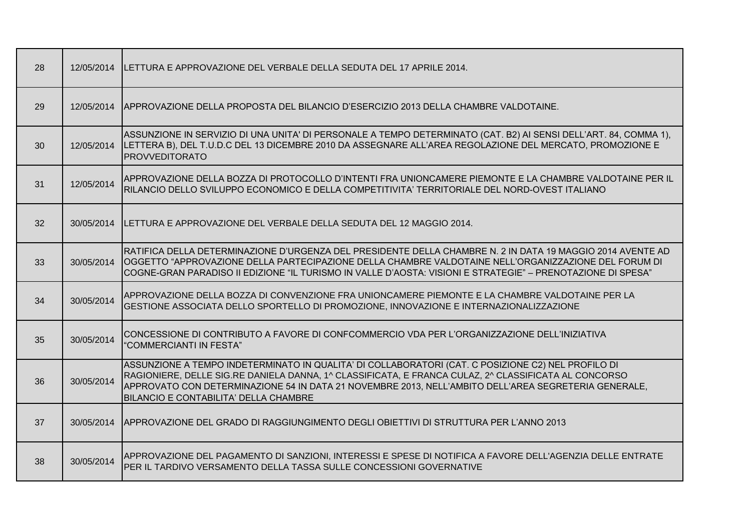| 28 | 12/05/2014 | LETTURA E APPROVAZIONE DEL VERBALE DELLA SEDUTA DEL 17 APRILE 2014.                                                                                                                                                                                                                                                                                         |
|----|------------|-------------------------------------------------------------------------------------------------------------------------------------------------------------------------------------------------------------------------------------------------------------------------------------------------------------------------------------------------------------|
| 29 | 12/05/2014 | APPROVAZIONE DELLA PROPOSTA DEL BILANCIO D'ESERCIZIO 2013 DELLA CHAMBRE VALDOTAINE.                                                                                                                                                                                                                                                                         |
| 30 | 12/05/2014 | ASSUNZIONE IN SERVIZIO DI UNA UNITA' DI PERSONALE A TEMPO DETERMINATO (CAT. B2) AI SENSI DELL'ART. 84, COMMA 1),<br>LETTERA B), DEL T.U.D.C DEL 13 DICEMBRE 2010 DA ASSEGNARE ALL'AREA REGOLAZIONE DEL MERCATO, PROMOZIONE E<br><b>PROVVEDITORATO</b>                                                                                                       |
| 31 | 12/05/2014 | APPROVAZIONE DELLA BOZZA DI PROTOCOLLO D'INTENTI FRA UNIONCAMERE PIEMONTE E LA CHAMBRE VALDOTAINE PER IL<br>RILANCIO DELLO SVILUPPO ECONOMICO E DELLA COMPETITIVITA' TERRITORIALE DEL NORD-OVEST ITALIANO                                                                                                                                                   |
| 32 | 30/05/2014 | LETTURA E APPROVAZIONE DEL VERBALE DELLA SEDUTA DEL 12 MAGGIO 2014.                                                                                                                                                                                                                                                                                         |
| 33 | 30/05/2014 | RATIFICA DELLA DETERMINAZIONE D'URGENZA DEL PRESIDENTE DELLA CHAMBRE N. 2 IN DATA 19 MAGGIO 2014 AVENTE AD<br>OGGETTO "APPROVAZIONE DELLA PARTECIPAZIONE DELLA CHAMBRE VALDOTAINE NELL'ORGANIZZAZIONE DEL FORUM DI<br>COGNE-GRAN PARADISO II EDIZIONE "IL TURISMO IN VALLE D'AOSTA: VISIONI E STRATEGIE" – PRENOTAZIONE DI SPESA"                           |
| 34 | 30/05/2014 | APPROVAZIONE DELLA BOZZA DI CONVENZIONE FRA UNIONCAMERE PIEMONTE E LA CHAMBRE VALDOTAINE PER LA<br>GESTIONE ASSOCIATA DELLO SPORTELLO DI PROMOZIONE, INNOVAZIONE E INTERNAZIONALIZZAZIONE                                                                                                                                                                   |
| 35 | 30/05/2014 | CONCESSIONE DI CONTRIBUTO A FAVORE DI CONFCOMMERCIO VDA PER L'ORGANIZZAZIONE DELL'INIZIATIVA<br>"COMMERCIANTI IN FESTA"                                                                                                                                                                                                                                     |
| 36 | 30/05/2014 | ASSUNZIONE A TEMPO INDETERMINATO IN QUALITA' DI COLLABORATORI (CAT. C POSIZIONE C2) NEL PROFILO DI<br>RAGIONIERE, DELLE SIG.RE DANIELA DANNA, 1^ CLASSIFICATA, E FRANCA CULAZ, 2^ CLASSIFICATA AL CONCORSO<br>APPROVATO CON DETERMINAZIONE 54 IN DATA 21 NOVEMBRE 2013, NELL'AMBITO DELL'AREA SEGRETERIA GENERALE,<br>BILANCIO E CONTABILITA' DELLA CHAMBRE |
| 37 | 30/05/2014 | APPROVAZIONE DEL GRADO DI RAGGIUNGIMENTO DEGLI OBIETTIVI DI STRUTTURA PER L'ANNO 2013                                                                                                                                                                                                                                                                       |
| 38 | 30/05/2014 | APPROVAZIONE DEL PAGAMENTO DI SANZIONI, INTERESSI E SPESE DI NOTIFICA A FAVORE DELL'AGENZIA DELLE ENTRATE<br>PER IL TARDIVO VERSAMENTO DELLA TASSA SULLE CONCESSIONI GOVERNATIVE                                                                                                                                                                            |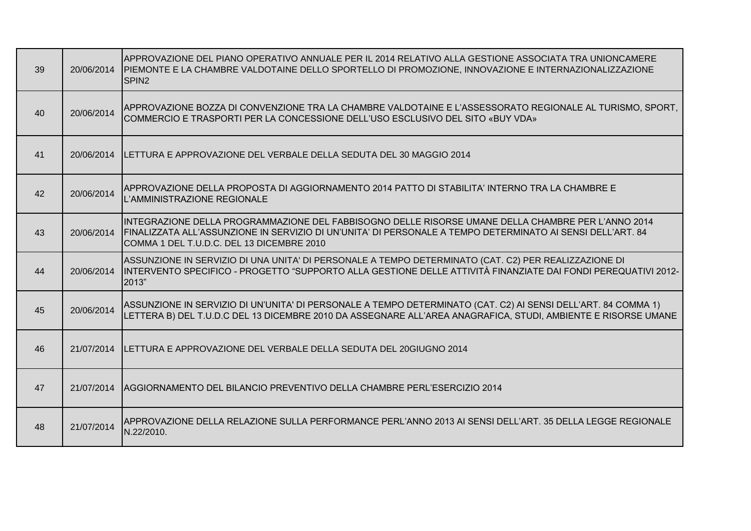| 39 | 20/06/2014 | APPROVAZIONE DEL PIANO OPERATIVO ANNUALE PER IL 2014 RELATIVO ALLA GESTIONE ASSOCIATA TRA UNIONCAMERE<br>PIEMONTE E LA CHAMBRE VALDOTAINE DELLO SPORTELLO DI PROMOZIONE, INNOVAZIONE E INTERNAZIONALIZZAZIONE<br>SPIN <sub>2</sub>                            |
|----|------------|---------------------------------------------------------------------------------------------------------------------------------------------------------------------------------------------------------------------------------------------------------------|
| 40 | 20/06/2014 | APPROVAZIONE BOZZA DI CONVENZIONE TRA LA CHAMBRE VALDOTAINE E L'ASSESSORATO REGIONALE AL TURISMO, SPORT,<br>COMMERCIO E TRASPORTI PER LA CONCESSIONE DELL'USO ESCLUSIVO DEL SITO «BUY VDA»                                                                    |
| 41 |            | 20/06/2014 LETTURA E APPROVAZIONE DEL VERBALE DELLA SEDUTA DEL 30 MAGGIO 2014                                                                                                                                                                                 |
| 42 | 20/06/2014 | APPROVAZIONE DELLA PROPOSTA DI AGGIORNAMENTO 2014 PATTO DI STABILITA' INTERNO TRA LA CHAMBRE E<br>L'AMMINISTRAZIONE REGIONALE                                                                                                                                 |
| 43 | 20/06/2014 | INTEGRAZIONE DELLA PROGRAMMAZIONE DEL FABBISOGNO DELLE RISORSE UMANE DELLA CHAMBRE PER L'ANNO 2014<br>FINALIZZATA ALL'ASSUNZIONE IN SERVIZIO DI UN'UNITA' DI PERSONALE A TEMPO DETERMINATO AI SENSI DELL'ART. 84<br>COMMA 1 DEL T.U.D.C. DEL 13 DICEMBRE 2010 |
| 44 | 20/06/2014 | ASSUNZIONE IN SERVIZIO DI UNA UNITA' DI PERSONALE A TEMPO DETERMINATO (CAT. C2) PER REALIZZAZIONE DI<br>IINTERVENTO SPECIFICO - PROGETTO "SUPPORTO ALLA GESTIONE DELLE ATTIVITÀ FINANZIATE DAI FONDI PEREQUATIVI 2012-<br>2013"                               |
| 45 | 20/06/2014 | ASSUNZIONE IN SERVIZIO DI UN'UNITA' DI PERSONALE A TEMPO DETERMINATO (CAT. C2) AI SENSI DELL'ART. 84 COMMA 1)<br>LETTERA B) DEL T.U.D.C DEL 13 DICEMBRE 2010 DA ASSEGNARE ALL'AREA ANAGRAFICA, STUDI, AMBIENTE E RISORSE UMANE                                |
| 46 |            | 21/07/2014 LETTURA E APPROVAZIONE DEL VERBALE DELLA SEDUTA DEL 20GIUGNO 2014                                                                                                                                                                                  |
| 47 |            | 21/07/2014 AGGIORNAMENTO DEL BILANCIO PREVENTIVO DELLA CHAMBRE PERL'ESERCIZIO 2014                                                                                                                                                                            |
| 48 | 21/07/2014 | APPROVAZIONE DELLA RELAZIONE SULLA PERFORMANCE PERL'ANNO 2013 AI SENSI DELL'ART. 35 DELLA LEGGE REGIONALE<br>N.22/2010.                                                                                                                                       |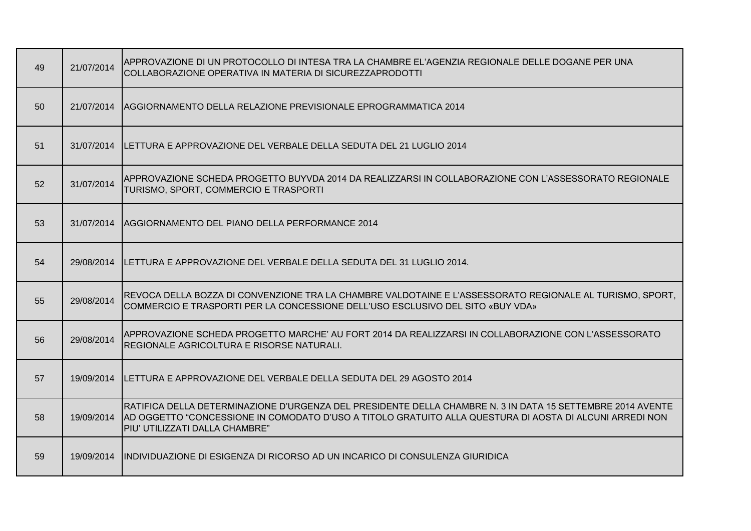| 49 | 21/07/2014 | APPROVAZIONE DI UN PROTOCOLLO DI INTESA TRA LA CHAMBRE EL'AGENZIA REGIONALE DELLE DOGANE PER UNA<br>COLLABORAZIONE OPERATIVA IN MATERIA DI SICUREZZAPRODOTTI                                                                                            |
|----|------------|---------------------------------------------------------------------------------------------------------------------------------------------------------------------------------------------------------------------------------------------------------|
| 50 |            | 21/07/2014 AGGIORNAMENTO DELLA RELAZIONE PREVISIONALE EPROGRAMMATICA 2014                                                                                                                                                                               |
| 51 |            | 31/07/2014 LETTURA E APPROVAZIONE DEL VERBALE DELLA SEDUTA DEL 21 LUGLIO 2014                                                                                                                                                                           |
| 52 | 31/07/2014 | APPROVAZIONE SCHEDA PROGETTO BUYVDA 2014 DA REALIZZARSI IN COLLABORAZIONE CON L'ASSESSORATO REGIONALE<br>TURISMO, SPORT, COMMERCIO E TRASPORTI                                                                                                          |
| 53 |            | 31/07/2014 AGGIORNAMENTO DEL PIANO DELLA PERFORMANCE 2014                                                                                                                                                                                               |
| 54 |            | 29/08/2014 LETTURA E APPROVAZIONE DEL VERBALE DELLA SEDUTA DEL 31 LUGLIO 2014.                                                                                                                                                                          |
| 55 | 29/08/2014 | REVOCA DELLA BOZZA DI CONVENZIONE TRA LA CHAMBRE VALDOTAINE E L'ASSESSORATO REGIONALE AL TURISMO, SPORT,<br>COMMERCIO E TRASPORTI PER LA CONCESSIONE DELL'USO ESCLUSIVO DEL SITO «BUY VDA»                                                              |
| 56 | 29/08/2014 | APPROVAZIONE SCHEDA PROGETTO MARCHE' AU FORT 2014 DA REALIZZARSI IN COLLABORAZIONE CON L'ASSESSORATO<br>REGIONALE AGRICOLTURA E RISORSE NATURALI.                                                                                                       |
| 57 |            | 19/09/2014 ILETTURA E APPROVAZIONE DEL VERBALE DELLA SEDUTA DEL 29 AGOSTO 2014                                                                                                                                                                          |
| 58 | 19/09/2014 | RATIFICA DELLA DETERMINAZIONE D'URGENZA DEL PRESIDENTE DELLA CHAMBRE N. 3 IN DATA 15 SETTEMBRE 2014 AVENTE<br>AD OGGETTO "CONCESSIONE IN COMODATO D'USO A TITOLO GRATUITO ALLA QUESTURA DI AOSTA DI ALCUNI ARREDI NON<br>PIU' UTILIZZATI DALLA CHAMBRE" |
| 59 |            | 19/09/2014 INDIVIDUAZIONE DI ESIGENZA DI RICORSO AD UN INCARICO DI CONSULENZA GIURIDICA                                                                                                                                                                 |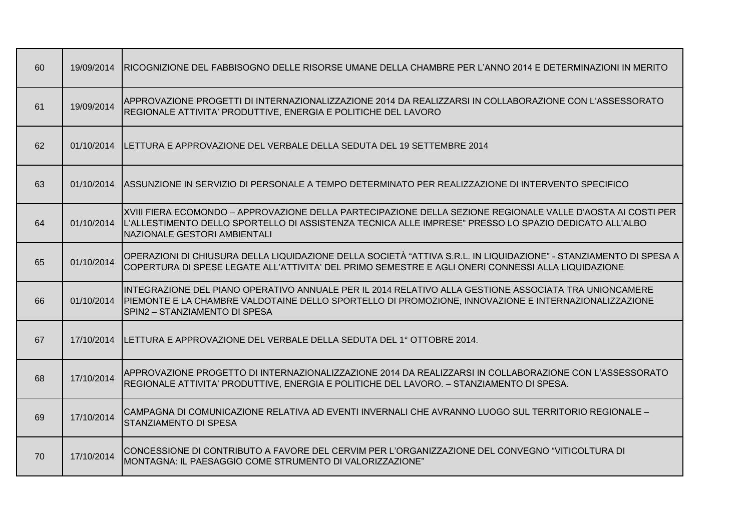| 60 | 19/09/2014 | RICOGNIZIONE DEL FABBISOGNO DELLE RISORSE UMANE DELLA CHAMBRE PER L'ANNO 2014 E DETERMINAZIONI IN MERITO                                                                                                                                             |
|----|------------|------------------------------------------------------------------------------------------------------------------------------------------------------------------------------------------------------------------------------------------------------|
| 61 | 19/09/2014 | APPROVAZIONE PROGETTI DI INTERNAZIONALIZZAZIONE 2014 DA REALIZZARSI IN COLLABORAZIONE CON L'ASSESSORATO<br>REGIONALE ATTIVITA' PRODUTTIVE, ENERGIA E POLITICHE DEL LAVORO                                                                            |
| 62 | 01/10/2014 | ILETTURA E APPROVAZIONE DEL VERBALE DELLA SEDUTA DEL 19 SETTEMBRE 2014                                                                                                                                                                               |
| 63 |            | 01/10/2014 ASSUNZIONE IN SERVIZIO DI PERSONALE A TEMPO DETERMINATO PER REALIZZAZIONE DI INTERVENTO SPECIFICO                                                                                                                                         |
| 64 | 01/10/2014 | XVIII FIERA ECOMONDO – APPROVAZIONE DELLA PARTECIPAZIONE DELLA SEZIONE REGIONALE VALLE D'AOSTA AI COSTI PER<br>L'ALLESTIMENTO DELLO SPORTELLO DI ASSISTENZA TECNICA ALLE IMPRESE" PRESSO LO SPAZIO DEDICATO ALL'ALBO<br>NAZIONALE GESTORI AMBIENTALI |
| 65 | 01/10/2014 | OPERAZIONI DI CHIUSURA DELLA LIQUIDAZIONE DELLA SOCIETÀ "ATTIVA S.R.L. IN LIQUIDAZIONE" - STANZIAMENTO DI SPESA A<br>COPERTURA DI SPESE LEGATE ALL'ATTIVITA' DEL PRIMO SEMESTRE E AGLI ONERI CONNESSI ALLA LIQUIDAZIONE                              |
| 66 | 01/10/2014 | INTEGRAZIONE DEL PIANO OPERATIVO ANNUALE PER IL 2014 RELATIVO ALLA GESTIONE ASSOCIATA TRA UNIONCAMERE<br>PIEMONTE E LA CHAMBRE VALDOTAINE DELLO SPORTELLO DI PROMOZIONE, INNOVAZIONE E INTERNAZIONALIZZAZIONE<br>SPIN2 - STANZIAMENTO DI SPESA       |
| 67 |            | 17/10/2014 ILETTURA E APPROVAZIONE DEL VERBALE DELLA SEDUTA DEL 1º OTTOBRE 2014.                                                                                                                                                                     |
| 68 | 17/10/2014 | APPROVAZIONE PROGETTO DI INTERNAZIONALIZZAZIONE 2014 DA REALIZZARSI IN COLLABORAZIONE CON L'ASSESSORATO<br>REGIONALE ATTIVITA' PRODUTTIVE, ENERGIA E POLITICHE DEL LAVORO. - STANZIAMENTO DI SPESA.                                                  |
| 69 | 17/10/2014 | CAMPAGNA DI COMUNICAZIONE RELATIVA AD EVENTI INVERNALI CHE AVRANNO LUOGO SUL TERRITORIO REGIONALE -<br><b>STANZIAMENTO DI SPESA</b>                                                                                                                  |
| 70 | 17/10/2014 | CONCESSIONE DI CONTRIBUTO A FAVORE DEL CERVIM PER L'ORGANIZZAZIONE DEL CONVEGNO "VITICOLTURA DI<br>MONTAGNA: IL PAESAGGIO COME STRUMENTO DI VALORIZZAZIONE"                                                                                          |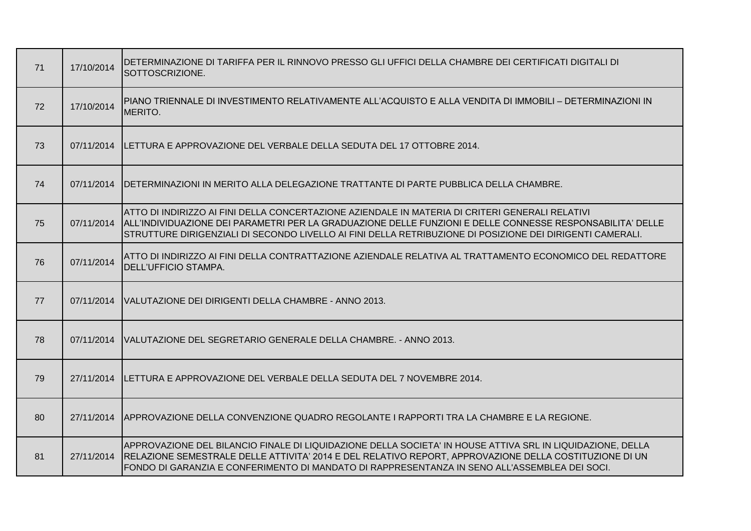| 71 | 17/10/2014 | IDETERMINAZIONE DI TARIFFA PER IL RINNOVO PRESSO GLI UFFICI DELLA CHAMBRE DEI CERTIFICATI DIGITALI DI<br>SOTTOSCRIZIONE.                                                                                                                                                                                                  |
|----|------------|---------------------------------------------------------------------------------------------------------------------------------------------------------------------------------------------------------------------------------------------------------------------------------------------------------------------------|
| 72 | 17/10/2014 | PIANO TRIENNALE DI INVESTIMENTO RELATIVAMENTE ALL'ACQUISTO E ALLA VENDITA DI IMMOBILI – DETERMINAZIONI IN<br>MERITO.                                                                                                                                                                                                      |
| 73 | 07/11/2014 | ILETTURA E APPROVAZIONE DEL VERBALE DELLA SEDUTA DEL 17 OTTOBRE 2014.                                                                                                                                                                                                                                                     |
| 74 | 07/11/2014 | <b>IDETERMINAZIONI IN MERITO ALLA DELEGAZIONE TRATTANTE DI PARTE PUBBLICA DELLA CHAMBRE.</b>                                                                                                                                                                                                                              |
| 75 | 07/11/2014 | ATTO DI INDIRIZZO AI FINI DELLA CONCERTAZIONE AZIENDALE IN MATERIA DI CRITERI GENERALI RELATIVI<br>ALL'INDIVIDUAZIONE DEI PARAMETRI PER LA GRADUAZIONE DELLE FUNZIONI E DELLE CONNESSE RESPONSABILITA' DELLE<br>STRUTTURE DIRIGENZIALI DI SECONDO LIVELLO AI FINI DELLA RETRIBUZIONE DI POSIZIONE DEI DIRIGENTI CAMERALI. |
| 76 | 07/11/2014 | ATTO DI INDIRIZZO AI FINI DELLA CONTRATTAZIONE AZIENDALE RELATIVA AL TRATTAMENTO ECONOMICO DEL REDATTORE<br>DELL'UFFICIO STAMPA.                                                                                                                                                                                          |
| 77 | 07/11/2014 | VALUTAZIONE DEI DIRIGENTI DELLA CHAMBRE - ANNO 2013.                                                                                                                                                                                                                                                                      |
| 78 |            | 07/11/2014   VALUTAZIONE DEL SEGRETARIO GENERALE DELLA CHAMBRE. - ANNO 2013.                                                                                                                                                                                                                                              |
| 79 | 27/11/2014 | <b>ILETTURA E APPROVAZIONE DEL VERBALE DELLA SEDUTA DEL 7 NOVEMBRE 2014.</b>                                                                                                                                                                                                                                              |
| 80 | 27/11/2014 | APPROVAZIONE DELLA CONVENZIONE QUADRO REGOLANTE I RAPPORTI TRA LA CHAMBRE E LA REGIONE.                                                                                                                                                                                                                                   |
| 81 | 27/11/2014 | APPROVAZIONE DEL BILANCIO FINALE DI LIQUIDAZIONE DELLA SOCIETA' IN HOUSE ATTIVA SRL IN LIQUIDAZIONE, DELLA<br>RELAZIONE SEMESTRALE DELLE ATTIVITA' 2014 E DEL RELATIVO REPORT, APPROVAZIONE DELLA COSTITUZIONE DI UN<br>FONDO DI GARANZIA E CONFERIMENTO DI MANDATO DI RAPPRESENTANZA IN SENO ALL'ASSEMBLEA DEI SOCI.     |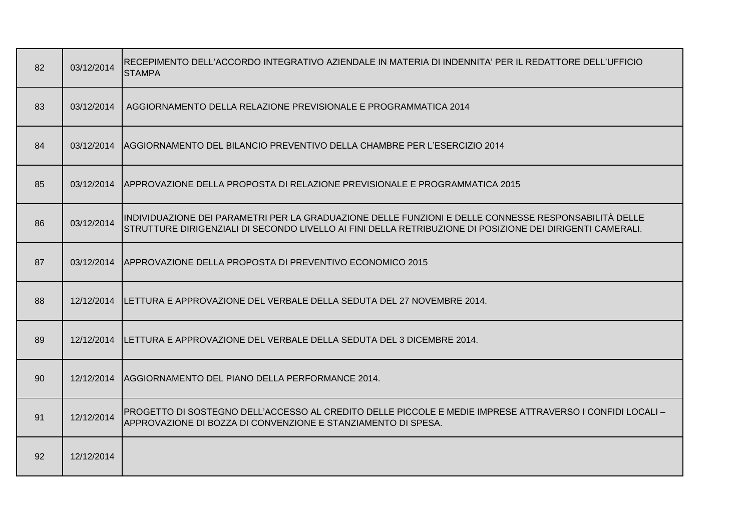| 82 | 03/12/2014 | IRECEPIMENTO DELL'ACCORDO INTEGRATIVO AZIENDALE IN MATERIA DI INDENNITA' PER IL REDATTORE DELL'UFFICIO<br><b>STAMPA</b>                                                                                           |
|----|------------|-------------------------------------------------------------------------------------------------------------------------------------------------------------------------------------------------------------------|
| 83 | 03/12/2014 | AGGIORNAMENTO DELLA RELAZIONE PREVISIONALE E PROGRAMMATICA 2014                                                                                                                                                   |
| 84 |            | 03/12/2014 AGGIORNAMENTO DEL BILANCIO PREVENTIVO DELLA CHAMBRE PER L'ESERCIZIO 2014                                                                                                                               |
| 85 |            | 03/12/2014 APPROVAZIONE DELLA PROPOSTA DI RELAZIONE PREVISIONALE E PROGRAMMATICA 2015                                                                                                                             |
| 86 | 03/12/2014 | INDIVIDUAZIONE DEI PARAMETRI PER LA GRADUAZIONE DELLE FUNZIONI E DELLE CONNESSE RESPONSABILITÀ DELLE<br>STRUTTURE DIRIGENZIALI DI SECONDO LIVELLO AI FINI DELLA RETRIBUZIONE DI POSIZIONE DEI DIRIGENTI CAMERALI. |
| 87 |            | 03/12/2014 APPROVAZIONE DELLA PROPOSTA DI PREVENTIVO ECONOMICO 2015                                                                                                                                               |
| 88 |            | 12/12/2014 ILETTURA E APPROVAZIONE DEL VERBALE DELLA SEDUTA DEL 27 NOVEMBRE 2014.                                                                                                                                 |
| 89 |            | 12/12/2014  LETTURA E APPROVAZIONE DEL VERBALE DELLA SEDUTA DEL 3 DICEMBRE 2014.                                                                                                                                  |
| 90 |            | 12/12/2014 AGGIORNAMENTO DEL PIANO DELLA PERFORMANCE 2014.                                                                                                                                                        |
| 91 | 12/12/2014 | PROGETTO DI SOSTEGNO DELL'ACCESSO AL CREDITO DELLE PICCOLE E MEDIE IMPRESE ATTRAVERSO I CONFIDI LOCALI –<br>APPROVAZIONE DI BOZZA DI CONVENZIONE E STANZIAMENTO DI SPESA.                                         |
| 92 | 12/12/2014 |                                                                                                                                                                                                                   |